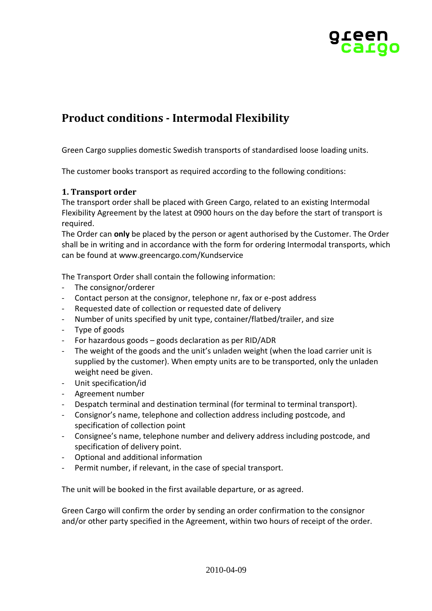

# **Product conditions - Intermodal Flexibility**

Green Cargo supplies domestic Swedish transports of standardised loose loading units.

The customer books transport as required according to the following conditions:

# **1. Transport order**

The transport order shall be placed with Green Cargo, related to an existing Intermodal Flexibility Agreement by the latest at 0900 hours on the day before the start of transport is required.

The Order can **only** be placed by the person or agent authorised by the Customer. The Order shall be in writing and in accordance with the form for ordering Intermodal transports, which can be found at www.greencargo.com/Kundservice

The Transport Order shall contain the following information:

- The consignor/orderer
- Contact person at the consignor, telephone nr, fax or e-post address
- Requested date of collection or requested date of delivery
- Number of units specified by unit type, container/flatbed/trailer, and size
- Type of goods
- For hazardous goods goods declaration as per RID/ADR
- The weight of the goods and the unit's unladen weight (when the load carrier unit is supplied by the customer). When empty units are to be transported, only the unladen weight need be given.
- Unit specification/id
- Agreement number
- Despatch terminal and destination terminal (for terminal to terminal transport).
- Consignor's name, telephone and collection address including postcode, and specification of collection point
- Consignee's name, telephone number and delivery address including postcode, and specification of delivery point.
- Optional and additional information
- Permit number, if relevant, in the case of special transport.

The unit will be booked in the first available departure, or as agreed.

Green Cargo will confirm the order by sending an order confirmation to the consignor and/or other party specified in the Agreement, within two hours of receipt of the order.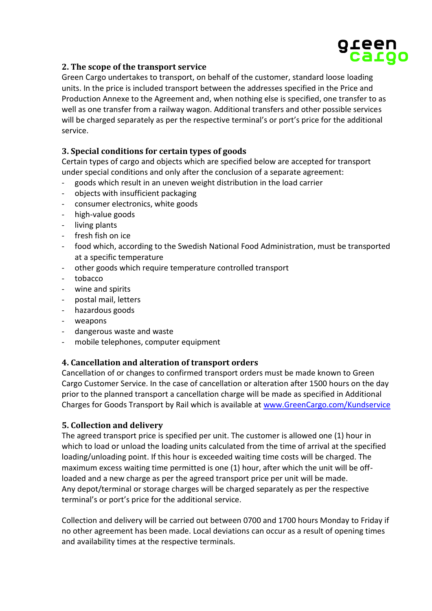

# **2. The scope of the transport service**

Green Cargo undertakes to transport, on behalf of the customer, standard loose loading units. In the price is included transport between the addresses specified in the Price and Production Annexe to the Agreement and, when nothing else is specified, one transfer to as well as one transfer from a railway wagon. Additional transfers and other possible services will be charged separately as per the respective terminal's or port's price for the additional service.

## **3. Special conditions for certain types of goods**

Certain types of cargo and objects which are specified below are accepted for transport under special conditions and only after the conclusion of a separate agreement:

- goods which result in an uneven weight distribution in the load carrier
- objects with insufficient packaging
- consumer electronics, white goods
- high-value goods
- living plants
- fresh fish on ice
- food which, according to the Swedish National Food Administration, must be transported at a specific temperature
- other goods which require temperature controlled transport
- tobacco
- wine and spirits
- postal mail, letters
- hazardous goods
- weapons
- dangerous waste and waste
- mobile telephones, computer equipment

#### **4. Cancellation and alteration of transport orders**

Cancellation of or changes to confirmed transport orders must be made known to Green Cargo Customer Service. In the case of cancellation or alteration after 1500 hours on the day prior to the planned transport a cancellation charge will be made as specified in Additional Charges for Goods Transport by Rail which is available at [www.GreenCargo.com/Kundservice](http://www.greencargo.com/Kundservice)

#### **5. Collection and delivery**

The agreed transport price is specified per unit. The customer is allowed one (1) hour in which to load or unload the loading units calculated from the time of arrival at the specified loading/unloading point. If this hour is exceeded waiting time costs will be charged. The maximum excess waiting time permitted is one (1) hour, after which the unit will be offloaded and a new charge as per the agreed transport price per unit will be made. Any depot/terminal or storage charges will be charged separately as per the respective terminal's or port's price for the additional service.

Collection and delivery will be carried out between 0700 and 1700 hours Monday to Friday if no other agreement has been made. Local deviations can occur as a result of opening times and availability times at the respective terminals.